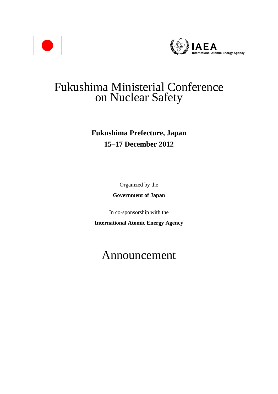



## Fukushima Ministerial Conference on Nuclear Safety

## **Fukushima Prefecture, Japan 15–17 December 2012**

Organized by the

**Government of Japan** 

In co-sponsorship with the

**International Atomic Energy Agency** 

# Announcement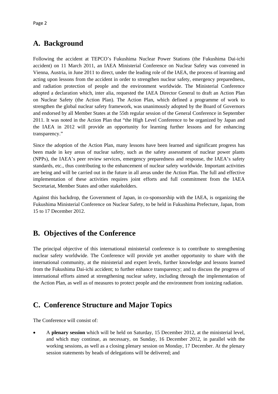### **A. Background**

Following the accident at TEPCO's Fukushima Nuclear Power Stations (the Fukushima Dai-ichi accident) on 11 March 2011, an IAEA Ministerial Conference on Nuclear Safety was convened in Vienna, Austria, in June 2011 to direct, under the leading role of the IAEA, the process of learning and acting upon lessons from the accident in order to strengthen nuclear safety, emergency preparedness, and radiation protection of people and the environment worldwide. The Ministerial Conference adopted a declaration which, inter alia, requested the IAEA Director General to draft an Action Plan on Nuclear Safety (the Action Plan). The Action Plan, which defined a programme of work to strengthen the global nuclear safety framework, was unanimously adopted by the Board of Governors and endorsed by all Member States at the 55th regular session of the General Conference in September 2011. It was noted in the Action Plan that "the High Level Conference to be organized by Japan and the IAEA in 2012 will provide an opportunity for learning further lessons and for enhancing transparency."

Since the adoption of the Action Plan, many lessons have been learned and significant progress has been made in key areas of nuclear safety, such as the safety assessment of nuclear power plants (NPPs), the IAEA's peer review services, emergency preparedness and response, the IAEA's safety standards, etc., thus contributing to the enhancement of nuclear safety worldwide. Important activities are being and will be carried out in the future in all areas under the Action Plan. The full and effective implementation of these activities requires joint efforts and full commitment from the IAEA Secretariat, Member States and other stakeholders.

Against this backdrop, the Government of Japan, in co-sponsorship with the IAEA, is organizing the Fukushima Ministerial Conference on Nuclear Safety, to be held in Fukushima Prefecture, Japan, from 15 to 17 December 2012.

#### **B. Objectives of the Conference**

The principal objective of this international ministerial conference is to contribute to strengthening nuclear safety worldwide. The Conference will provide yet another opportunity to share with the international community, at the ministerial and expert levels, further knowledge and lessons learned from the Fukushima Dai-ichi accident; to further enhance transparency; and to discuss the progress of international efforts aimed at strengthening nuclear safety, including through the implementation of the Action Plan, as well as of measures to protect people and the environment from ionizing radiation.

## **C. Conference Structure and Major Topics**

The Conference will consist of:

 A **plenary session** which will be held on Saturday, 15 December 2012, at the ministerial level, and which may continue, as necessary, on Sunday, 16 December 2012, in parallel with the working sessions, as well as a closing plenary session on Monday, 17 December. At the plenary session statements by heads of delegations will be delivered; and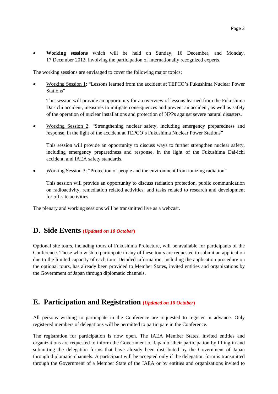**Working sessions** which will be held on Sunday, 16 December, and Monday, 17 December 2012, involving the participation of internationally recognized experts.

The working sessions are envisaged to cover the following major topics:

 Working Session 1: "Lessons learned from the accident at TEPCO's Fukushima Nuclear Power Stations"

This session will provide an opportunity for an overview of lessons learned from the Fukushima Dai-ichi accident, measures to mitigate consequences and prevent an accident, as well as safety of the operation of nuclear installations and protection of NPPs against severe natural disasters.

 Working Session 2: "Strengthening nuclear safety, including emergency preparedness and response, in the light of the accident at TEPCO's Fukushima Nuclear Power Stations"

This session will provide an opportunity to discuss ways to further strengthen nuclear safety, including emergency preparedness and response, in the light of the Fukushima Dai-ichi accident, and IAEA safety standards.

Working Session 3: "Protection of people and the environment from ionizing radiation"

This session will provide an opportunity to discuss radiation protection, public communication on radioactivity, remediation related activities, and tasks related to research and development for off-site activities.

The plenary and working sessions will be transmitted live as a webcast.

#### **D. Side Events (***Updated on 10 October***)**

Optional site tours, including tours of Fukushima Prefecture, will be available for participants of the Conference. Those who wish to participate in any of these tours are requested to submit an application due to the limited capacity of each tour. Detailed information, including the application procedure on the optional tours, has already been provided to Member States, invited entities and organizations by the Government of Japan through diplomatic channels.

#### **E. Participation and Registration (***Updated on 10 October***)**

All persons wishing to participate in the Conference are requested to register in advance. Only registered members of delegations will be permitted to participate in the Conference.

The registration for participation is now open. The IAEA Member States, invited entities and organizations are requested to inform the Government of Japan of their participation by filling in and submitting the delegation forms that have already been distributed by the Government of Japan through diplomatic channels. A participant will be accepted only if the delegation form is transmitted through the Government of a Member State of the IAEA or by entities and organizations invited to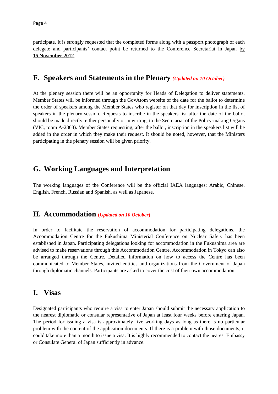participate. It is strongly requested that the completed forms along with a passport photograph of each delegate and participants' contact point be returned to the Conference Secretariat in Japan by **15 November 2012**.

#### **F. Speakers and Statements in the Plenary** *(Updated on 10 October)*

At the plenary session there will be an opportunity for Heads of Delegation to deliver statements. Member States will be informed through the GovAtom website of the date for the ballot to determine the order of speakers among the Member States who register on that day for inscription in the list of speakers in the plenary session. Requests to inscribe in the speakers list after the date of the ballot should be made directly, either personally or in writing, to the Secretariat of the Policy-making Organs (VIC, room A-2863). Member States requesting, after the ballot, inscription in the speakers list will be added in the order in which they make their request. It should be noted, however, that the Ministers participating in the plenary session will be given priority.

#### **G. Working Languages and Interpretation**

The working languages of the Conference will be the official IAEA languages: Arabic, Chinese, English, French, Russian and Spanish, as well as Japanese.

#### **H. Accommodation (***Updated on 10 October***)**

In order to facilitate the reservation of accommodation for participating delegations, the Accommodation Centre for the Fukushima Ministerial Conference on Nuclear Safety has been established in Japan. Participating delegations looking for accommodation in the Fukushima area are advised to make reservations through this Accommodation Centre. Accommodation in Tokyo can also be arranged through the Centre. Detailed Information on how to access the Centre has been communicated to Member States, invited entities and organizations from the Government of Japan through diplomatic channels. Participants are asked to cover the cost of their own accommodation.

#### **I. Visas**

Designated participants who require a visa to enter Japan should submit the necessary application to the nearest diplomatic or consular representative of Japan at least four weeks before entering Japan. The period for issuing a visa is approximately five working days as long as there is no particular problem with the content of the application documents. If there is a problem with those documents, it could take more than a month to issue a visa. It is highly recommended to contact the nearest Embassy or Consulate General of Japan sufficiently in advance.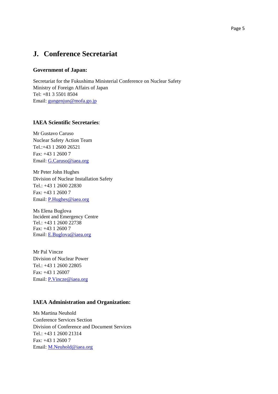#### **J. Conference Secretariat**

#### **Government of Japan:**

Secretariat for the Fukushima Ministerial Conference on Nuclear Safety Ministry of Foreign Affairs of Japan Tel: +81 3 5501 8504 Email: gungenjun@mofa.go.jp

#### **IAEA Scientific Secretaries**:

Mr Gustavo Caruso Nuclear Safety Action Team Tel.:+43 1 2600 26521 Fax: +43 1 2600 7 Email: G.Caruso@iaea.org

Mr Peter John Hughes Division of Nuclear Installation Safety Tel.: +43 1 2600 22830 Fax: +43 1 2600 7 Email: P.Hughes@iaea.org

Ms Elena Buglova Incident and Emergency Centre Tel.: +43 1 2600 22738 Fax: +43 1 2600 7 Email: E.Buglova@iaea.org

Mr Pal Vincze Division of Nuclear Power Tel.: +43 1 2600 22805 Fax: +43 1 26007 Email: P.Vincze@iaea.org

#### **IAEA Administration and Organization:**

Ms Martina Neuhold Conference Services Section Division of Conference and Document Services Tel.: +43 1 2600 21314 Fax: +43 1 2600 7 Email: M.Neuhold@iaea.org